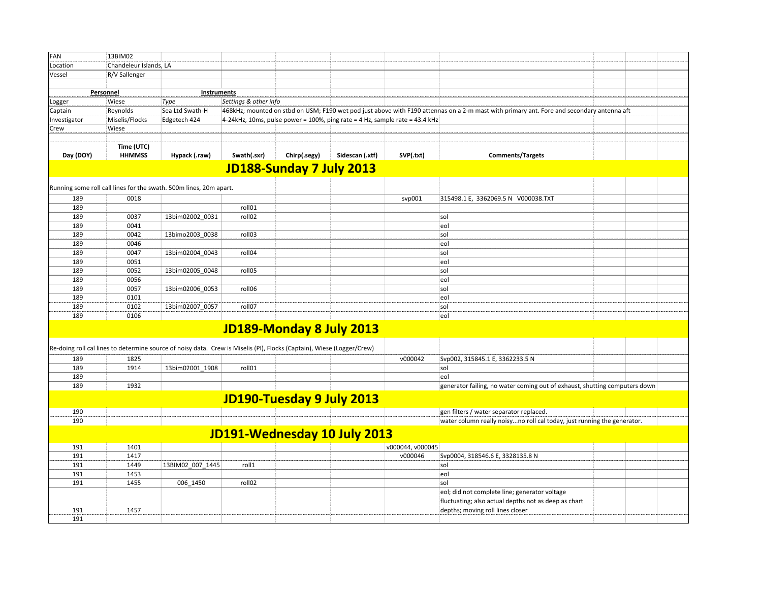| FAN          | 13BIM02                |                                                                                                                        |                       |                           |                                                                             |                  |                                                                                                                                           |  |
|--------------|------------------------|------------------------------------------------------------------------------------------------------------------------|-----------------------|---------------------------|-----------------------------------------------------------------------------|------------------|-------------------------------------------------------------------------------------------------------------------------------------------|--|
| Location     | Chandeleur Islands, LA |                                                                                                                        |                       |                           |                                                                             |                  |                                                                                                                                           |  |
| Vessel       | R/V Sallenger          |                                                                                                                        |                       |                           |                                                                             |                  |                                                                                                                                           |  |
|              |                        |                                                                                                                        |                       |                           |                                                                             |                  |                                                                                                                                           |  |
|              | Personnel              |                                                                                                                        | Instruments           |                           |                                                                             |                  |                                                                                                                                           |  |
| Logger       | Wiese                  | Type                                                                                                                   | Settings & other info |                           |                                                                             |                  |                                                                                                                                           |  |
| Captain      | Reynolds               | Sea Ltd Swath-H                                                                                                        |                       |                           |                                                                             |                  | 468kHz; mounted on stbd on USM; F190 wet pod just above with F190 attennas on a 2-m mast with primary ant. Fore and secondary antenna aft |  |
|              | Miselis/Flocks         | Edgetech 424                                                                                                           |                       |                           | 4-24kHz, 10ms, pulse power = 100%, ping rate = 4 Hz, sample rate = 43.4 kHz |                  |                                                                                                                                           |  |
| Investigator | Wiese                  |                                                                                                                        |                       |                           |                                                                             |                  |                                                                                                                                           |  |
| Crew         |                        |                                                                                                                        |                       |                           |                                                                             |                  |                                                                                                                                           |  |
|              |                        |                                                                                                                        |                       |                           |                                                                             |                  |                                                                                                                                           |  |
|              | Time (UTC)             |                                                                                                                        |                       |                           |                                                                             |                  |                                                                                                                                           |  |
| Day (DOY)    | <b>HHMMSS</b>          | Hypack (.raw)                                                                                                          | Swath(.sxr)           | Chirp(.segy)              | Sidescan (.xtf)                                                             | SVP(.txt)        | <b>Comments/Targets</b>                                                                                                                   |  |
|              |                        |                                                                                                                        |                       | JD188-Sunday 7 July 2013  |                                                                             |                  |                                                                                                                                           |  |
|              |                        |                                                                                                                        |                       |                           |                                                                             |                  |                                                                                                                                           |  |
|              |                        | Running some roll call lines for the swath. 500m lines, 20m apart.                                                     |                       |                           |                                                                             |                  |                                                                                                                                           |  |
| 189          | 0018                   |                                                                                                                        |                       |                           |                                                                             | svp001           | 315498.1 E, 3362069.5 N V000038.TXT                                                                                                       |  |
| 189          |                        |                                                                                                                        | roll01                |                           |                                                                             |                  |                                                                                                                                           |  |
|              |                        |                                                                                                                        |                       |                           |                                                                             |                  |                                                                                                                                           |  |
| 189          | 0037                   | 13bim02002 0031                                                                                                        | roll02                |                           |                                                                             |                  | sol                                                                                                                                       |  |
| 189          | 0041                   |                                                                                                                        |                       |                           |                                                                             |                  | eol                                                                                                                                       |  |
| 189          | 0042                   | 13bimo2003_0038                                                                                                        | roll03                |                           |                                                                             |                  | sol                                                                                                                                       |  |
| 189          | 0046                   |                                                                                                                        |                       |                           |                                                                             |                  | eol                                                                                                                                       |  |
| 189          | 0047                   | 13bim02004 0043                                                                                                        | roll04                |                           |                                                                             |                  | sol                                                                                                                                       |  |
| 189          | 0051                   |                                                                                                                        |                       |                           |                                                                             |                  | eol                                                                                                                                       |  |
| 189          | 0052                   | 13bim02005_0048                                                                                                        | roll05                |                           |                                                                             |                  | sol                                                                                                                                       |  |
| 189          | 0056                   |                                                                                                                        |                       |                           |                                                                             |                  | eol                                                                                                                                       |  |
| 189          | 0057                   | 13bim02006 0053                                                                                                        | roll06                |                           |                                                                             |                  | sol                                                                                                                                       |  |
| 189          | 0101                   |                                                                                                                        |                       |                           |                                                                             |                  | leol                                                                                                                                      |  |
| 189          | 0102                   | 13bim02007 0057                                                                                                        | roll07                |                           |                                                                             |                  | sol                                                                                                                                       |  |
| 189          | 0106                   |                                                                                                                        |                       |                           |                                                                             |                  | eol                                                                                                                                       |  |
|              |                        |                                                                                                                        |                       |                           |                                                                             |                  |                                                                                                                                           |  |
|              |                        |                                                                                                                        |                       | JD189-Monday 8 July 2013  |                                                                             |                  |                                                                                                                                           |  |
|              |                        |                                                                                                                        |                       |                           |                                                                             |                  |                                                                                                                                           |  |
|              |                        | Re-doing roll cal lines to determine source of noisy data. Crew is Miselis (PI), Flocks (Captain), Wiese (Logger/Crew) |                       |                           |                                                                             |                  |                                                                                                                                           |  |
| 189          | 1825                   |                                                                                                                        |                       |                           |                                                                             | v000042          | Svp002, 315845.1 E, 3362233.5 N                                                                                                           |  |
| 189          | 1914                   | 13bim02001 1908                                                                                                        | roll01                |                           |                                                                             |                  | sol                                                                                                                                       |  |
| 189          |                        |                                                                                                                        |                       |                           |                                                                             |                  | eol                                                                                                                                       |  |
| 189          | 1932                   |                                                                                                                        |                       |                           |                                                                             |                  | generator failing, no water coming out of exhaust, shutting computers down                                                                |  |
|              |                        |                                                                                                                        |                       |                           |                                                                             |                  |                                                                                                                                           |  |
|              |                        |                                                                                                                        |                       | JD190-Tuesday 9 July 2013 |                                                                             |                  |                                                                                                                                           |  |
| 190          |                        |                                                                                                                        |                       |                           |                                                                             |                  | gen filters / water separator replaced.                                                                                                   |  |
| 190          |                        |                                                                                                                        |                       |                           |                                                                             |                  | water column really noisyno roll cal today, just running the generator.                                                                   |  |
|              |                        |                                                                                                                        |                       |                           |                                                                             |                  |                                                                                                                                           |  |
|              |                        |                                                                                                                        |                       |                           | JD191-Wednesday 10 July 2013                                                |                  |                                                                                                                                           |  |
| 191          | 1401                   |                                                                                                                        |                       |                           |                                                                             | v000044, v000045 |                                                                                                                                           |  |
| 191          | 1417                   |                                                                                                                        |                       |                           |                                                                             | v000046          | Svp0004, 318546.6 E, 3328135.8 N                                                                                                          |  |
| 191          | 1449                   | 13BIM02_007_1445                                                                                                       | roll1                 |                           |                                                                             |                  | sol                                                                                                                                       |  |
| 191          | 1453                   |                                                                                                                        |                       |                           |                                                                             |                  | eol                                                                                                                                       |  |
| 191          | 1455                   | 006 1450                                                                                                               | roll02                |                           |                                                                             |                  | sol                                                                                                                                       |  |
|              |                        |                                                                                                                        |                       |                           |                                                                             |                  |                                                                                                                                           |  |
|              |                        |                                                                                                                        |                       |                           |                                                                             |                  | eol; did not complete line; generator voltage                                                                                             |  |
|              |                        |                                                                                                                        |                       |                           |                                                                             |                  | fluctuating; also actual depths not as deep as chart                                                                                      |  |
| 191          | 1457                   |                                                                                                                        |                       |                           |                                                                             |                  | depths; moving roll lines closer                                                                                                          |  |
| 191          |                        |                                                                                                                        |                       |                           |                                                                             |                  |                                                                                                                                           |  |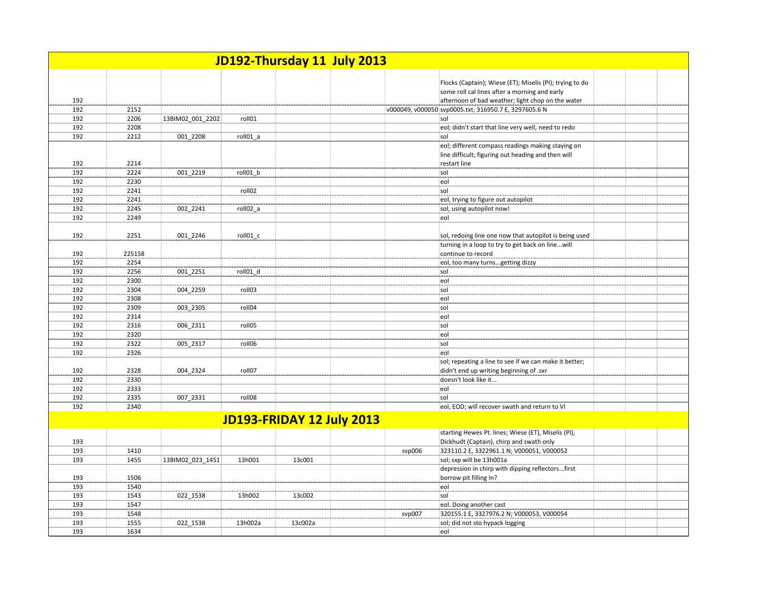|            |              |                  |          |                           | JD192-Thursday 11 July 2013 |                                                                                                                         |  |
|------------|--------------|------------------|----------|---------------------------|-----------------------------|-------------------------------------------------------------------------------------------------------------------------|--|
|            |              |                  |          |                           |                             | Flocks (Captain); Wiese (ET); Miselis (PI); trying to do<br>some roll cal lines after a morning and early               |  |
| 192        |              |                  |          |                           |                             | afternoon of bad weather; light chop on the water                                                                       |  |
| 192        | 2152         |                  |          |                           |                             | v000049, v000050 svp0005.txt; 316950.7 E, 3297605.6 N                                                                   |  |
| 192        | 2206         | 13BIM02 001 2202 | roll01   |                           |                             | sol                                                                                                                     |  |
| 192        | 2208         |                  |          |                           |                             | eol; didn't start that line very well, need to redo                                                                     |  |
| 192        | 2212         | 001 2208         | roll01_a |                           |                             | sol                                                                                                                     |  |
| 192        | 2214         |                  |          |                           |                             | eol; different compass readings making staying on<br>line difficult; figuring out heading and then will<br>restart line |  |
| 192        | 2224         | 001 2219         | roll01 b |                           |                             | sol                                                                                                                     |  |
| 192        | 2230         |                  |          |                           |                             | eol                                                                                                                     |  |
| 192        | 2241         |                  | roll02   |                           |                             | sol                                                                                                                     |  |
| 192        | 2241         |                  |          |                           |                             | eol, trying to figure out autopilot                                                                                     |  |
| 192        | 2245         | 002_2241         | roll02_a |                           |                             | sol, using autopilot now!                                                                                               |  |
| 192        | 2249         |                  |          |                           |                             | eol                                                                                                                     |  |
|            |              |                  |          |                           |                             |                                                                                                                         |  |
| 192        | 2251         | 001 2246         | roll01 c |                           |                             | sol, redoing line one now that autopilot is being used                                                                  |  |
|            |              |                  |          |                           |                             | turning in a loop to try to get back on linewill                                                                        |  |
| 192        | 225158       |                  |          |                           |                             | continue to record                                                                                                      |  |
| 192        | 2254         |                  |          |                           |                             | eol, too many turnsgetting dizzy                                                                                        |  |
| 192        | 2256         | 001 2251         | roll01 d |                           |                             | sol                                                                                                                     |  |
| 192        | 2300         |                  |          |                           |                             | eol                                                                                                                     |  |
| 192        | 2304         | 004 2259         | roll03   |                           |                             | sol                                                                                                                     |  |
| 192        | 2308         |                  |          |                           |                             | eol                                                                                                                     |  |
| 192        | 2309         | 003_2305         | roll04   |                           |                             | sol                                                                                                                     |  |
| 192        | 2314         |                  |          |                           |                             | eol                                                                                                                     |  |
| 192        | 2316         | 006 2311         | roll05   |                           |                             | sol                                                                                                                     |  |
| 192        | 2320         |                  |          |                           |                             | eol                                                                                                                     |  |
| 192        | 2322         | 005 2317         | roll06   |                           |                             | sol                                                                                                                     |  |
| 192        | 2326         |                  |          |                           |                             | eol                                                                                                                     |  |
| 192        | 2328         | 004 2324         | roll07   |                           |                             | sol; repeating a line to see if we can make it better;<br>didn't end up writing beginning of .sxr                       |  |
| 192        | 2330         |                  |          |                           |                             | doesn't look like it                                                                                                    |  |
| 192        | 2333         |                  |          |                           |                             | eol                                                                                                                     |  |
| 192        | 2335         | 007 2331         | roll08   |                           |                             | sol                                                                                                                     |  |
| 192        | 2340         |                  |          |                           |                             | eol, EOD; will recover swath and return to VI                                                                           |  |
|            |              |                  |          | JD193-FRIDAY 12 July 2013 |                             |                                                                                                                         |  |
|            |              |                  |          |                           |                             | starting Hewes Pt. lines; Wiese (ET), Miselis (PI),                                                                     |  |
| 193        |              |                  |          |                           |                             | Dickhudt (Captain), chirp and swath only                                                                                |  |
| 193<br>193 | 1410<br>1455 |                  |          |                           | svp006                      | 323110.2 E, 3322961.1 N; V000051, V000052                                                                               |  |
|            |              | 13BIM02 023 1451 | 13h001   | 13c001                    |                             | sol; sxp will be 13h001a                                                                                                |  |
| 193        | 1506         |                  |          |                           |                             | depression in chirp with dipping reflectorsfirst<br>borrow pit filling in?                                              |  |
| 193        | 1540         |                  |          |                           |                             | eol                                                                                                                     |  |
| 193        | 1543         | 022_1538         | 13h002   | 13c002                    |                             | sol                                                                                                                     |  |
| 193        | 1547         |                  |          |                           |                             | eol. Doing another cast                                                                                                 |  |
| 193        | 1548         |                  |          |                           | svp007                      | 320155.1 E, 3327976.2 N; V000053, V000054                                                                               |  |
| 193        | 1555         | 022 1538         | 13h002a  | 13c002a                   |                             | sol; did not sto hypack logging                                                                                         |  |
| 193        | 1634         |                  |          |                           |                             | eol                                                                                                                     |  |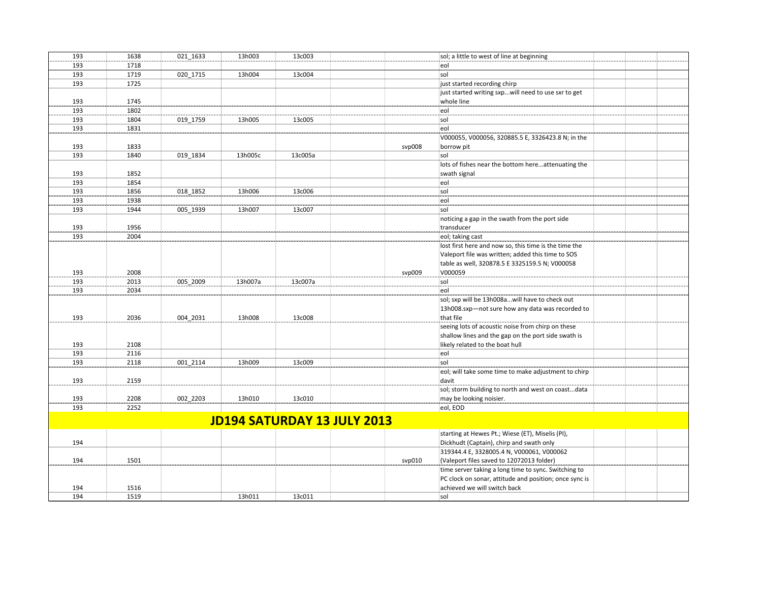| 193 | 1638 | 021 1633 | 13h003  | 13c003  |                                    | sol; a little to west of line at beginning             |  |
|-----|------|----------|---------|---------|------------------------------------|--------------------------------------------------------|--|
| 193 | 1718 |          |         |         |                                    | eol                                                    |  |
| 193 | 1719 | 020 1715 | 13h004  | 13c004  |                                    | sol                                                    |  |
| 193 | 1725 |          |         |         |                                    | just started recording chirp                           |  |
|     |      |          |         |         |                                    | just started writing sxpwill need to use sxr to get    |  |
| 193 | 1745 |          |         |         |                                    | whole line                                             |  |
| 193 | 1802 |          |         |         |                                    | eol                                                    |  |
| 193 | 1804 | 019 1759 | 13h005  | 13c005  |                                    | sol                                                    |  |
| 193 | 1831 |          |         |         |                                    | eol                                                    |  |
|     |      |          |         |         |                                    | V000055, V000056, 320885.5 E, 3326423.8 N; in the      |  |
| 193 | 1833 |          |         |         | svp008                             | borrow pit                                             |  |
| 193 | 1840 | 019 1834 | 13h005c | 13c005a |                                    | sol                                                    |  |
|     |      |          |         |         |                                    | lots of fishes near the bottom hereattenuating the     |  |
| 193 | 1852 |          |         |         |                                    | swath signal                                           |  |
| 193 | 1854 |          |         |         |                                    | eol                                                    |  |
| 193 | 1856 | 018 1852 | 13h006  | 13c006  |                                    | sol                                                    |  |
| 193 | 1938 |          |         |         |                                    | eol                                                    |  |
| 193 | 1944 | 005 1939 | 13h007  | 13c007  |                                    | sol                                                    |  |
|     |      |          |         |         |                                    | noticing a gap in the swath from the port side         |  |
| 193 | 1956 |          |         |         |                                    | transducer                                             |  |
| 193 | 2004 |          |         |         |                                    | eol; taking cast                                       |  |
|     |      |          |         |         |                                    | lost first here and now so, this time is the time the  |  |
|     |      |          |         |         |                                    | Valeport file was written; added this time to SOS      |  |
|     |      |          |         |         |                                    | table as well, 320878.5 E 3325159.5 N; V000058         |  |
| 193 | 2008 |          |         |         | svp009                             | V000059                                                |  |
| 193 | 2013 | 005 2009 | 13h007a | 13c007a |                                    | sol                                                    |  |
| 193 | 2034 |          |         |         |                                    | eol                                                    |  |
|     |      |          |         |         |                                    | sol; sxp will be 13h008awill have to check out         |  |
|     |      |          |         |         |                                    | 13h008.sxp-not sure how any data was recorded to       |  |
| 193 | 2036 | 004 2031 | 13h008  | 13c008  |                                    | that file                                              |  |
|     |      |          |         |         |                                    | seeing lots of acoustic noise from chirp on these      |  |
|     |      |          |         |         |                                    | shallow lines and the gap on the port side swath is    |  |
| 193 | 2108 |          |         |         |                                    | likely related to the boat hull                        |  |
| 193 | 2116 |          |         |         |                                    | eol                                                    |  |
| 193 | 2118 | 001 2114 | 13h009  | 13c009  |                                    | sol                                                    |  |
|     |      |          |         |         |                                    | eol; will take some time to make adjustment to chirp   |  |
| 193 | 2159 |          |         |         |                                    | davit                                                  |  |
|     |      |          |         |         |                                    | sol; storm building to north and west on coastdata     |  |
| 193 | 2208 | 002 2203 | 13h010  | 13c010  |                                    | may be looking noisier.                                |  |
| 193 | 2252 |          |         |         |                                    | eol, EOD                                               |  |
|     |      |          |         |         |                                    |                                                        |  |
|     |      |          |         |         | <b>JD194 SATURDAY 13 JULY 2013</b> |                                                        |  |
|     |      |          |         |         |                                    | starting at Hewes Pt.; Wiese (ET), Miselis (PI),       |  |
| 194 |      |          |         |         |                                    | Dickhudt (Captain), chirp and swath only               |  |
|     |      |          |         |         |                                    | 319344.4 E, 3328005.4 N, V000061, V000062              |  |
| 194 | 1501 |          |         |         | svp010                             | (Valeport files saved to 12072013 folder)              |  |
|     |      |          |         |         |                                    | time server taking a long time to sync. Switching to   |  |
|     |      |          |         |         |                                    | PC clock on sonar, attitude and position; once sync is |  |
| 194 | 1516 |          |         |         |                                    | achieved we will switch back                           |  |
| 194 | 1519 |          | 13h011  | 13c011  |                                    | sol                                                    |  |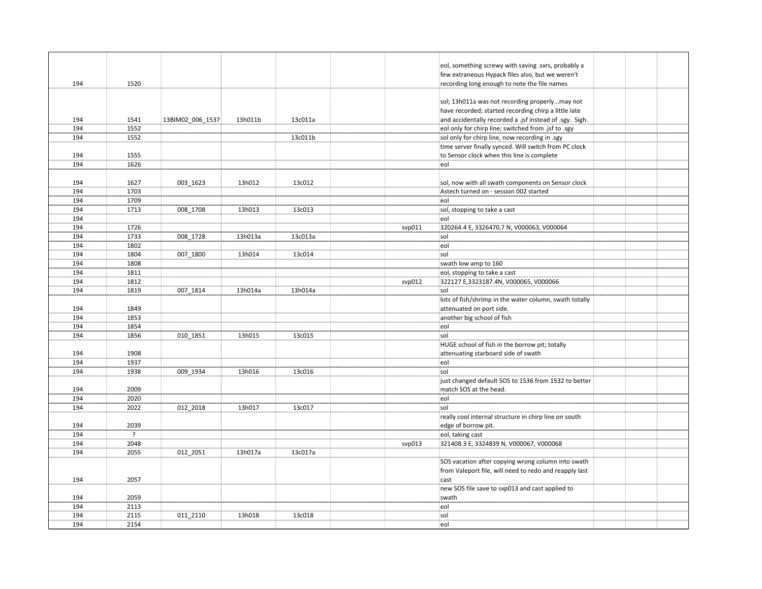|     |      |                  |         |         |        | eol, something screwy with saving .sxrs, probably a     |  |
|-----|------|------------------|---------|---------|--------|---------------------------------------------------------|--|
|     |      |                  |         |         |        | few extraneous Hypack files also, but we weren't        |  |
| 194 | 1520 |                  |         |         |        | recording long enough to note the file names            |  |
|     |      |                  |         |         |        |                                                         |  |
|     |      |                  |         |         |        | sol; 13h011a was not recording properlymay not          |  |
|     |      |                  |         |         |        | have recorded; started recording chirp a little late    |  |
| 194 | 1541 |                  | 13h011b | 13c011a |        | and accidentally recorded a .jsf instead of .sgy. Sigh. |  |
| 194 |      | 13BIM02_006_1537 |         |         |        |                                                         |  |
|     | 1552 |                  |         |         |        | eol only for chirp line; switched from .jsf to .sgy     |  |
| 194 | 1552 |                  |         | 13c011b |        | sol only for chirp line, now recording in .sgy          |  |
|     |      |                  |         |         |        | time server finally synced. Will switch from PC clock   |  |
| 194 | 1555 |                  |         |         |        | to Sensor clock when this line is complete              |  |
| 194 | 1626 |                  |         |         |        | eol                                                     |  |
|     |      |                  |         |         |        |                                                         |  |
| 194 | 1627 | 003 1623         | 13h012  | 13c012  |        | sol, now with all swath components on Sensor clock      |  |
| 194 | 1703 |                  |         |         |        | Astech turned on - session 002 started                  |  |
| 194 | 1709 |                  |         |         |        | eol                                                     |  |
| 194 | 1713 | 008 1708         | 13h013  | 13c013  |        | sol, stopping to take a cast                            |  |
| 194 |      |                  |         |         |        | eol                                                     |  |
| 194 | 1726 |                  |         |         | svp011 | 320264.4 E, 3326470.7 N, V000063, V000064               |  |
| 194 | 1733 | 008 1728         | 13h013a | 13c013a |        | sol                                                     |  |
| 194 | 1802 |                  |         |         |        | eol                                                     |  |
| 194 | 1804 | 007 1800         | 13h014  | 13c014  |        | sol                                                     |  |
| 194 | 1808 |                  |         |         |        | swath low amp to 160                                    |  |
| 194 | 1811 |                  |         |         |        | eol, stopping to take a cast                            |  |
| 194 | 1812 |                  |         |         | svp012 | 322127 E,3323187.4N, V000065, V000066                   |  |
| 194 | 1819 | 007 1814         | 13h014a | 13h014a |        | sol                                                     |  |
|     |      |                  |         |         |        | lots of fish/shrimp in the water column, swath totally  |  |
|     |      |                  |         |         |        |                                                         |  |
| 194 | 1849 |                  |         |         |        | attenuated on port side.                                |  |
| 194 | 1853 |                  |         |         |        | another big school of fish                              |  |
| 194 | 1854 |                  |         |         |        | eol                                                     |  |
| 194 | 1856 | 010 1851         | 13h015  | 13c015  |        | sol                                                     |  |
|     |      |                  |         |         |        | HUGE school of fish in the borrow pit; totally          |  |
| 194 | 1908 |                  |         |         |        | attenuating starboard side of swath                     |  |
| 194 | 1937 |                  |         |         |        | eol                                                     |  |
| 194 | 1938 | 009 1934         | 13h016  | 13c016  |        | sol                                                     |  |
|     |      |                  |         |         |        | just changed default SOS to 1536 from 1532 to better    |  |
| 194 | 2009 |                  |         |         |        | match SOS at the head.                                  |  |
| 194 | 2020 |                  |         |         |        | eol                                                     |  |
| 194 | 2022 | 012 2018         | 13h017  | 13c017  |        | sol                                                     |  |
|     |      |                  |         |         |        | really cool internal structure in chirp line on south   |  |
| 194 | 2039 |                  |         |         |        | edge of borrow pit.                                     |  |
| 194 | ?    |                  |         |         |        | eol, taking cast                                        |  |
| 194 | 2048 |                  |         |         | svp013 | 321408.3 E, 3324839 N, V000067, V000068                 |  |
| 194 | 2055 | 012 2051         | 13h017a | 13c017a |        |                                                         |  |
|     |      |                  |         |         |        | SOS vacation after copying wrong column into swath      |  |
|     |      |                  |         |         |        | from Valeport file, will need to redo and reapply last  |  |
| 194 | 2057 |                  |         |         |        | cast                                                    |  |
|     |      |                  |         |         |        |                                                         |  |
|     |      |                  |         |         |        | new SOS file save to sxp013 and cast applied to         |  |
| 194 | 2059 |                  |         |         |        | swath                                                   |  |
| 194 | 2113 |                  |         |         |        | eol                                                     |  |
| 194 | 2115 | 011 2110         | 13h018  | 13c018  |        | sol                                                     |  |
| 194 | 2154 |                  |         |         |        | eol                                                     |  |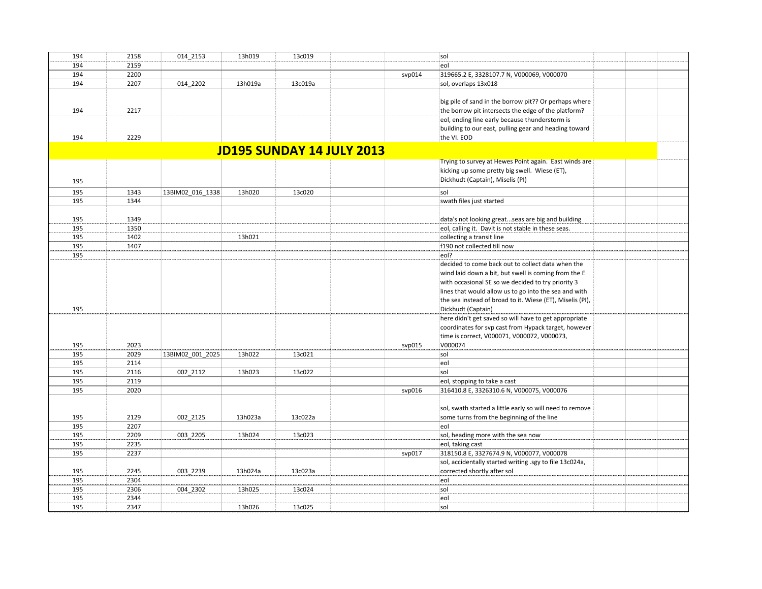| 194                              | 2158 | 014 2153         | 13h019  | 13c019  |        | sol                                                       |  |  |  |
|----------------------------------|------|------------------|---------|---------|--------|-----------------------------------------------------------|--|--|--|
| 194                              | 2159 |                  |         |         |        | eol                                                       |  |  |  |
| 194                              | 2200 |                  |         |         | svp014 | 319665.2 E, 3328107.7 N, V000069, V000070                 |  |  |  |
| 194                              | 2207 | 014 2202         | 13h019a | 13c019a |        | sol, overlaps 13x018                                      |  |  |  |
|                                  |      |                  |         |         |        |                                                           |  |  |  |
|                                  |      |                  |         |         |        | big pile of sand in the borrow pit?? Or perhaps where     |  |  |  |
|                                  | 2217 |                  |         |         |        |                                                           |  |  |  |
| 194                              |      |                  |         |         |        | the borrow pit intersects the edge of the platform?       |  |  |  |
|                                  |      |                  |         |         |        | eol, ending line early because thunderstorm is            |  |  |  |
|                                  |      |                  |         |         |        | building to our east, pulling gear and heading toward     |  |  |  |
| 194                              | 2229 |                  |         |         |        | the VI. EOD                                               |  |  |  |
| <b>JD195 SUNDAY 14 JULY 2013</b> |      |                  |         |         |        |                                                           |  |  |  |
|                                  |      |                  |         |         |        | Trying to survey at Hewes Point again. East winds are     |  |  |  |
|                                  |      |                  |         |         |        | kicking up some pretty big swell. Wiese (ET),             |  |  |  |
|                                  |      |                  |         |         |        |                                                           |  |  |  |
| 195                              |      |                  |         |         |        | Dickhudt (Captain), Miselis (PI)                          |  |  |  |
| 195                              | 1343 | 13BIM02 016 1338 | 13h020  | 13c020  |        | sol                                                       |  |  |  |
| 195                              | 1344 |                  |         |         |        | swath files just started                                  |  |  |  |
|                                  |      |                  |         |         |        |                                                           |  |  |  |
| 195                              | 1349 |                  |         |         |        | data's not looking greatseas are big and building         |  |  |  |
| 195                              | 1350 |                  |         |         |        | eol, calling it. Davit is not stable in these seas.       |  |  |  |
| 195                              | 1402 |                  | 13h021  |         |        | collecting a transit line                                 |  |  |  |
| 195                              | 1407 |                  |         |         |        | f190 not collected till now                               |  |  |  |
| 195                              |      |                  |         |         |        | eol?                                                      |  |  |  |
|                                  |      |                  |         |         |        | decided to come back out to collect data when the         |  |  |  |
|                                  |      |                  |         |         |        |                                                           |  |  |  |
|                                  |      |                  |         |         |        | wind laid down a bit, but swell is coming from the E      |  |  |  |
|                                  |      |                  |         |         |        | with occasional SE so we decided to try priority 3        |  |  |  |
|                                  |      |                  |         |         |        | lines that would allow us to go into the sea and with     |  |  |  |
|                                  |      |                  |         |         |        | the sea instead of broad to it. Wiese (ET), Miselis (PI), |  |  |  |
| 195                              |      |                  |         |         |        | Dickhudt (Captain)                                        |  |  |  |
|                                  |      |                  |         |         |        | here didn't get saved so will have to get appropriate     |  |  |  |
|                                  |      |                  |         |         |        | coordinates for svp cast from Hypack target, however      |  |  |  |
|                                  |      |                  |         |         |        | time is correct, V000071, V000072, V000073,               |  |  |  |
| 195                              | 2023 |                  |         |         | svp015 | V000074                                                   |  |  |  |
| 195                              | 2029 | 13BIM02 001 2025 | 13h022  | 13c021  |        | sol                                                       |  |  |  |
| 195                              | 2114 |                  |         |         |        | eol                                                       |  |  |  |
| 195                              | 2116 | 002 2112         | 13h023  | 13c022  |        | sol                                                       |  |  |  |
| 195                              | 2119 |                  |         |         |        | eol, stopping to take a cast                              |  |  |  |
| 195                              | 2020 |                  |         |         | svp016 | 316410.8 E, 3326310.6 N, V000075, V000076                 |  |  |  |
|                                  |      |                  |         |         |        |                                                           |  |  |  |
|                                  |      |                  |         |         |        | sol, swath started a little early so will need to remove  |  |  |  |
| 195                              | 2129 | 002 2125         | 13h023a | 13c022a |        | some turns from the beginning of the line                 |  |  |  |
| 195                              | 2207 |                  |         |         |        | eol                                                       |  |  |  |
| 195                              | 2209 | 003 2205         | 13h024  | 13c023  |        | sol, heading more with the sea now                        |  |  |  |
| 195                              | 2235 |                  |         |         |        | eol, taking cast                                          |  |  |  |
| 195                              | 2237 |                  |         |         | svp017 | 318150.8 E, 3327674.9 N, V000077, V000078                 |  |  |  |
|                                  |      |                  |         |         |        |                                                           |  |  |  |
|                                  |      |                  |         |         |        | sol, accidentally started writing .sgy to file 13c024a,   |  |  |  |
| 195                              | 2245 | 003 2239         | 13h024a | 13c023a |        | corrected shortly after sol                               |  |  |  |
| 195                              | 2304 |                  |         |         |        | eol                                                       |  |  |  |
| 195                              | 2306 | 004 2302         | 13h025  | 13c024  |        | sol                                                       |  |  |  |
| 195                              | 2344 |                  |         |         |        | eol                                                       |  |  |  |
| 195                              | 2347 |                  | 13h026  | 13c025  |        | sol                                                       |  |  |  |